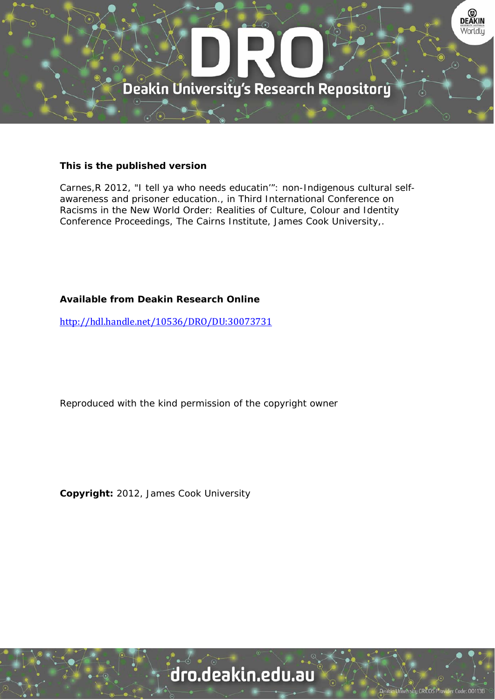

#### **This is the published version**

Carnes,R 2012, "I tell ya who needs educatin'": non-Indigenous cultural selfawareness and prisoner education., in Third International Conference on Racisms in the New World Order: Realities of Culture, Colour and Identity Conference Proceedings, The Cairns Institute, James Cook University,.

#### **Available from Deakin Research Online**

http://hdl.handle.net/10536/DRO/DU:30073731

Reproduced with the kind permission of the copyright owner

**Copyright:** 2012, James Cook University

# dro.deakin.edu.au

sity CRICOS Pro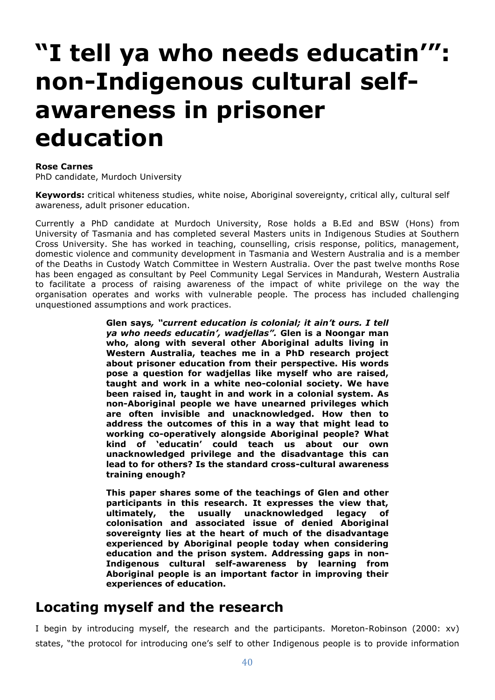# **"I tell ya who needs educatin'": non-Indigenous cultural selfawareness in prisoner education**

#### **Rose Carnes**

PhD candidate, Murdoch University

**Keywords:** critical whiteness studies, white noise, Aboriginal sovereignty, critical ally, cultural self awareness, adult prisoner education.

Currently a PhD candidate at Murdoch University, Rose holds a B.Ed and BSW (Hons) from University of Tasmania and has completed several Masters units in Indigenous Studies at Southern Cross University. She has worked in teaching, counselling, crisis response, politics, management, domestic violence and community development in Tasmania and Western Australia and is a member of the Deaths in Custody Watch Committee in Western Australia. Over the past twelve months Rose has been engaged as consultant by Peel Community Legal Services in Mandurah, Western Australia to facilitate a process of raising awareness of the impact of white privilege on the way the organisation operates and works with vulnerable people. The process has included challenging unquestioned assumptions and work practices.

> **Glen says***, "current education is colonial; it ain't ours. I tell ya who needs educatin', wadjellas".* **Glen is a Noongar man who, along with several other Aboriginal adults living in Western Australia, teaches me in a PhD research project about prisoner education from their perspective. His words pose a question for wadjellas like myself who are raised, taught and work in a white neo-colonial society. We have been raised in, taught in and work in a colonial system. As non-Aboriginal people we have unearned privileges which are often invisible and unacknowledged. How then to address the outcomes of this in a way that might lead to working co-operatively alongside Aboriginal people? What kind of 'educatin' could teach us about our own unacknowledged privilege and the disadvantage this can lead to for others? Is the standard cross-cultural awareness training enough?**

> **This paper shares some of the teachings of Glen and other participants in this research. It expresses the view that, ultimately, the usually unacknowledged legacy of colonisation and associated issue of denied Aboriginal sovereignty lies at the heart of much of the disadvantage experienced by Aboriginal people today when considering education and the prison system. Addressing gaps in non-Indigenous cultural self-awareness by learning from Aboriginal people is an important factor in improving their experiences of education.**

#### **Locating myself and the research**

I begin by introducing myself, the research and the participants. Moreton-Robinson (2000: xv) states, "the protocol for introducing one's self to other Indigenous people is to provide information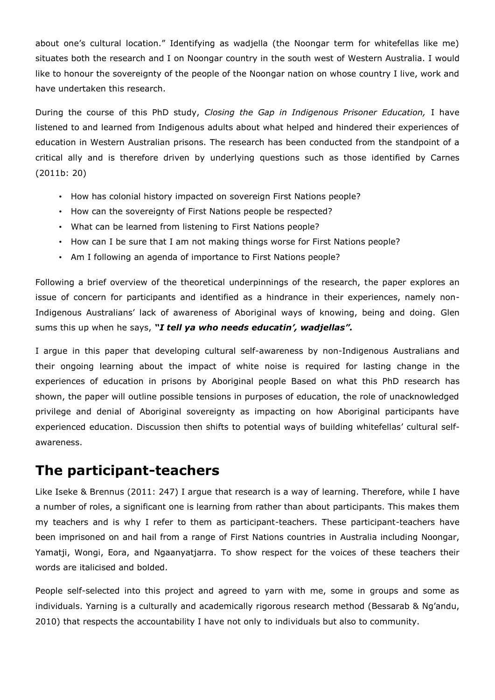about one's cultural location." Identifying as wadjella (the Noongar term for whitefellas like me) situates both the research and I on Noongar country in the south west of Western Australia. I would like to honour the sovereignty of the people of the Noongar nation on whose country I live, work and have undertaken this research.

During the course of this PhD study, *Closing the Gap in Indigenous Prisoner Education,* I have listened to and learned from Indigenous adults about what helped and hindered their experiences of education in Western Australian prisons. The research has been conducted from the standpoint of a critical ally and is therefore driven by underlying questions such as those identified by Carnes (2011b: 20)

- How has colonial history impacted on sovereign First Nations people?
- How can the sovereignty of First Nations people be respected?
- What can be learned from listening to First Nations people?
- How can I be sure that I am not making things worse for First Nations people?
- Am I following an agenda of importance to First Nations people?

Following a brief overview of the theoretical underpinnings of the research, the paper explores an issue of concern for participants and identified as a hindrance in their experiences, namely non-Indigenous Australians' lack of awareness of Aboriginal ways of knowing, being and doing. Glen sums this up when he says, *"I tell ya who needs educatin', wadjellas".*

I argue in this paper that developing cultural self-awareness by non-Indigenous Australians and their ongoing learning about the impact of white noise is required for lasting change in the experiences of education in prisons by Aboriginal people Based on what this PhD research has shown, the paper will outline possible tensions in purposes of education, the role of unacknowledged privilege and denial of Aboriginal sovereignty as impacting on how Aboriginal participants have experienced education. Discussion then shifts to potential ways of building whitefellas' cultural selfawareness.

#### **The participant-teachers**

Like Iseke & Brennus (2011: 247) I argue that research is a way of learning. Therefore, while I have a number of roles, a significant one is learning from rather than about participants. This makes them my teachers and is why I refer to them as participant-teachers. These participant-teachers have been imprisoned on and hail from a range of First Nations countries in Australia including Noongar, Yamatji, Wongi, Eora, and Ngaanyatjarra. To show respect for the voices of these teachers their words are italicised and bolded.

People self-selected into this project and agreed to yarn with me, some in groups and some as individuals. Yarning is a culturally and academically rigorous research method (Bessarab & Ng'andu, 2010) that respects the accountability I have not only to individuals but also to community.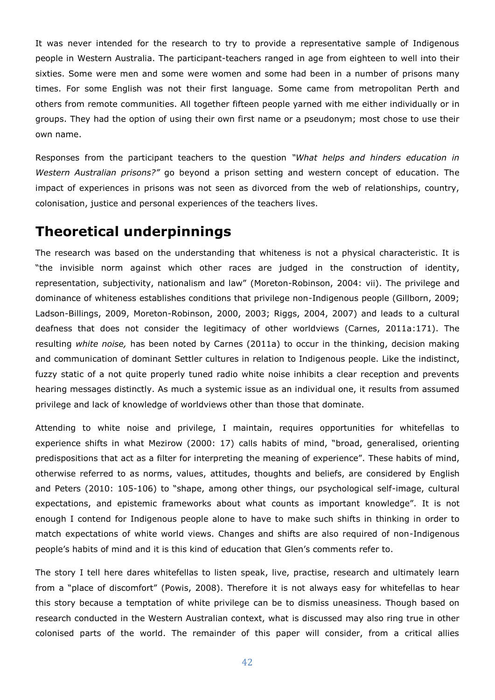It was never intended for the research to try to provide a representative sample of Indigenous people in Western Australia. The participant-teachers ranged in age from eighteen to well into their sixties. Some were men and some were women and some had been in a number of prisons many times. For some English was not their first language. Some came from metropolitan Perth and others from remote communities. All together fifteen people yarned with me either individually or in groups. They had the option of using their own first name or a pseudonym; most chose to use their own name.

Responses from the participant teachers to the question *"What helps and hinders education in Western Australian prisons?"* go beyond a prison setting and western concept of education. The impact of experiences in prisons was not seen as divorced from the web of relationships, country, colonisation, justice and personal experiences of the teachers lives.

### **Theoretical underpinnings**

The research was based on the understanding that whiteness is not a physical characteristic. It is "the invisible norm against which other races are judged in the construction of identity, representation, subjectivity, nationalism and law" (Moreton-Robinson, 2004: vii). The privilege and dominance of whiteness establishes conditions that privilege non-Indigenous people (Gillborn, 2009; Ladson-Billings, 2009, Moreton-Robinson, 2000, 2003; Riggs, 2004, 2007) and leads to a cultural deafness that does not consider the legitimacy of other worldviews (Carnes, 2011a:171). The resulting *white noise,* has been noted by Carnes (2011a) to occur in the thinking, decision making and communication of dominant Settler cultures in relation to Indigenous people. Like the indistinct, fuzzy static of a not quite properly tuned radio white noise inhibits a clear reception and prevents hearing messages distinctly. As much a systemic issue as an individual one, it results from assumed privilege and lack of knowledge of worldviews other than those that dominate.

Attending to white noise and privilege, I maintain, requires opportunities for whitefellas to experience shifts in what Mezirow (2000: 17) calls habits of mind, "broad, generalised, orienting predispositions that act as a filter for interpreting the meaning of experience". These habits of mind, otherwise referred to as norms, values, attitudes, thoughts and beliefs, are considered by English and Peters (2010: 105-106) to "shape, among other things, our psychological self-image, cultural expectations, and epistemic frameworks about what counts as important knowledge". It is not enough I contend for Indigenous people alone to have to make such shifts in thinking in order to match expectations of white world views. Changes and shifts are also required of non-Indigenous people's habits of mind and it is this kind of education that Glen's comments refer to.

The story I tell here dares whitefellas to listen speak, live, practise, research and ultimately learn from a "place of discomfort" (Powis, 2008). Therefore it is not always easy for whitefellas to hear this story because a temptation of white privilege can be to dismiss uneasiness. Though based on research conducted in the Western Australian context, what is discussed may also ring true in other colonised parts of the world. The remainder of this paper will consider, from a critical allies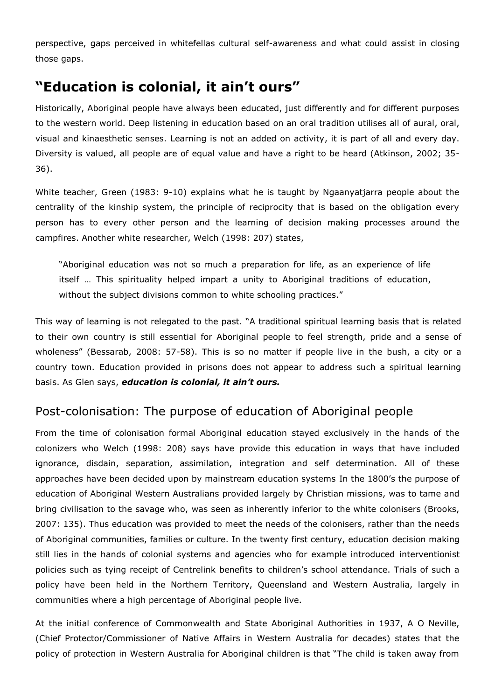perspective, gaps perceived in whitefellas cultural self-awareness and what could assist in closing those gaps.

# **"Education is colonial, it ain't ours"**

Historically, Aboriginal people have always been educated, just differently and for different purposes to the western world. Deep listening in education based on an oral tradition utilises all of aural, oral, visual and kinaesthetic senses. Learning is not an added on activity, it is part of all and every day. Diversity is valued, all people are of equal value and have a right to be heard (Atkinson, 2002; 35-36).

White teacher, Green (1983: 9-10) explains what he is taught by Ngaanyatjarra people about the centrality of the kinship system, the principle of reciprocity that is based on the obligation every person has to every other person and the learning of decision making processes around the campfires. Another white researcher, Welch (1998: 207) states,

"Aboriginal education was not so much a preparation for life, as an experience of life itself … This spirituality helped impart a unity to Aboriginal traditions of education, without the subject divisions common to white schooling practices."

This way of learning is not relegated to the past. "A traditional spiritual learning basis that is related to their own country is still essential for Aboriginal people to feel strength, pride and a sense of wholeness" (Bessarab, 2008: 57-58). This is so no matter if people live in the bush, a city or a country town. Education provided in prisons does not appear to address such a spiritual learning basis. As Glen says, *education is colonial, it ain't ours.*

#### Post-colonisation: The purpose of education of Aboriginal people

From the time of colonisation formal Aboriginal education stayed exclusively in the hands of the colonizers who Welch (1998: 208) says have provide this education in ways that have included ignorance, disdain, separation, assimilation, integration and self determination. All of these approaches have been decided upon by mainstream education systems In the 1800's the purpose of education of Aboriginal Western Australians provided largely by Christian missions, was to tame and bring civilisation to the savage who, was seen as inherently inferior to the white colonisers (Brooks, 2007: 135). Thus education was provided to meet the needs of the colonisers, rather than the needs of Aboriginal communities, families or culture. In the twenty first century, education decision making still lies in the hands of colonial systems and agencies who for example introduced interventionist policies such as tying receipt of Centrelink benefits to children's school attendance. Trials of such a policy have been held in the Northern Territory, Queensland and Western Australia, largely in communities where a high percentage of Aboriginal people live.

At the initial conference of Commonwealth and State Aboriginal Authorities in 1937, A O Neville, (Chief Protector/Commissioner of Native Affairs in Western Australia for decades) states that the policy of protection in Western Australia for Aboriginal children is that "The child is taken away from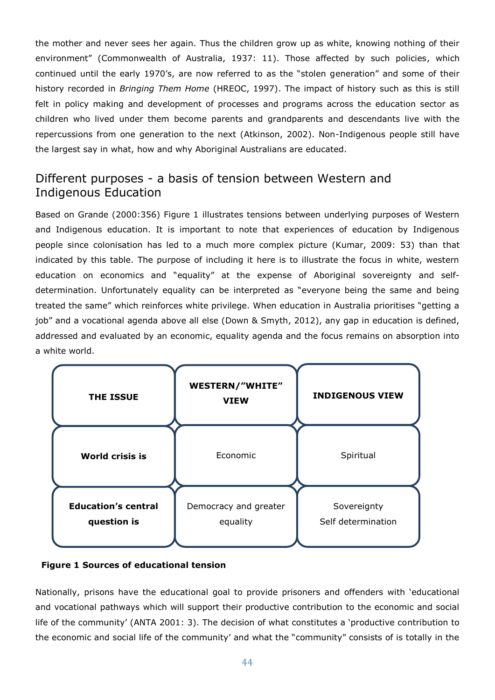the mother and never sees her again. Thus the children grow up as white, knowing nothing of their environment" (Commonwealth of Australia, 1937: 11). Those affected by such policies, which continued until the early 1970's, are now referred to as the "stolen generation" and some of their history recorded in *Bringing Them Home* (HREOC, 1997). The impact of history such as this is still felt in policy making and development of processes and programs across the education sector as children who lived under them become parents and grandparents and descendants live with the repercussions from one generation to the next (Atkinson, 2002). Non-Indigenous people still have the largest say in what, how and why Aboriginal Australians are educated.

#### Different purposes - a basis of tension between Western and Indigenous Education

Based on Grande (2000:356) Figure 1 illustrates tensions between underlying purposes of Western and Indigenous education. It is important to note that experiences of education by Indigenous people since colonisation has led to a much more complex picture (Kumar, 2009: 53) than that indicated by this table. The purpose of including it here is to illustrate the focus in white, western education on economics and "equality" at the expense of Aboriginal sovereignty and selfdetermination. Unfortunately equality can be interpreted as "everyone being the same and being treated the same" which reinforces white privilege. When education in Australia prioritises "getting a job" and a vocational agenda above all else (Down & Smyth, 2012), any gap in education is defined, addressed and evaluated by an economic, equality agenda and the focus remains on absorption into a white world.



#### **Figure 1 Sources of educational tension**

Nationally, prisons have the educational goal to provide prisoners and offenders with 'educational and vocational pathways which will support their productive contribution to the economic and social life of the community' (ANTA 2001: 3). The decision of what constitutes a 'productive contribution to the economic and social life of the community' and what the "community" consists of is totally in the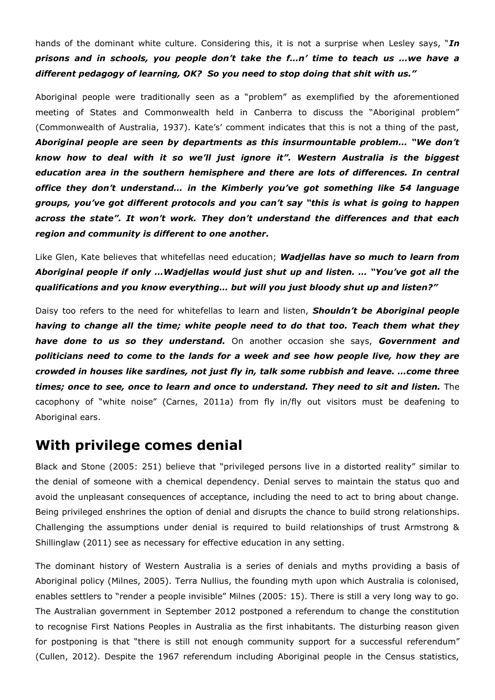hands of the dominant white culture. Considering this, it is not a surprise when Lesley says, "*In prisons and in schools, you people don't take the f…n' time to teach us …we have a different pedagogy of learning, OK? So you need to stop doing that shit with us."*

Aboriginal people were traditionally seen as a "problem" as exemplified by the aforementioned meeting of States and Commonwealth held in Canberra to discuss the "Aboriginal problem" (Commonwealth of Australia, 1937). Kate's' comment indicates that this is not a thing of the past, *Aboriginal people are seen by departments as this insurmountable problem… "We don't know how to deal with it so we'll just ignore it". Western Australia is the biggest education area in the southern hemisphere and there are lots of differences. In central office they don't understand… in the Kimberly you've got something like 54 language groups, you've got different protocols and you can't say "this is what is going to happen across the state". It won't work. They don't understand the differences and that each region and community is different to one another.*

Like Glen, Kate believes that whitefellas need education; *Wadjellas have so much to learn from Aboriginal people if only …Wadjellas would just shut up and listen. … "You've got all the qualifications and you know everything… but will you just bloody shut up and listen?"*

Daisy too refers to the need for whitefellas to learn and listen, *Shouldn't be Aboriginal people having to change all the time; white people need to do that too. Teach them what they have done to us so they understand.* On another occasion she says, *Government and politicians need to come to the lands for a week and see how people live, how they are crowded in houses like sardines, not just fly in, talk some rubbish and leave. …come three*  times; once to see, once to learn and once to understand. They need to sit and listen. The cacophony of "white noise" (Carnes, 2011a) from fly in/fly out visitors must be deafening to Aboriginal ears.

#### **With privilege comes denial**

Black and Stone (2005: 251) believe that "privileged persons live in a distorted reality" similar to the denial of someone with a chemical dependency. Denial serves to maintain the status quo and avoid the unpleasant consequences of acceptance, including the need to act to bring about change. Being privileged enshrines the option of denial and disrupts the chance to build strong relationships. Challenging the assumptions under denial is required to build relationships of trust Armstrong & Shillinglaw (2011) see as necessary for effective education in any setting.

The dominant history of Western Australia is a series of denials and myths providing a basis of Aboriginal policy (Milnes, 2005). Terra Nullius, the founding myth upon which Australia is colonised, enables settlers to "render a people invisible" Milnes (2005: 15). There is still a very long way to go. The Australian government in September 2012 postponed a referendum to change the constitution to recognise First Nations Peoples in Australia as the first inhabitants. The disturbing reason given for postponing is that "there is still not enough community support for a successful referendum" (Cullen, 2012). Despite the 1967 referendum including Aboriginal people in the Census statistics,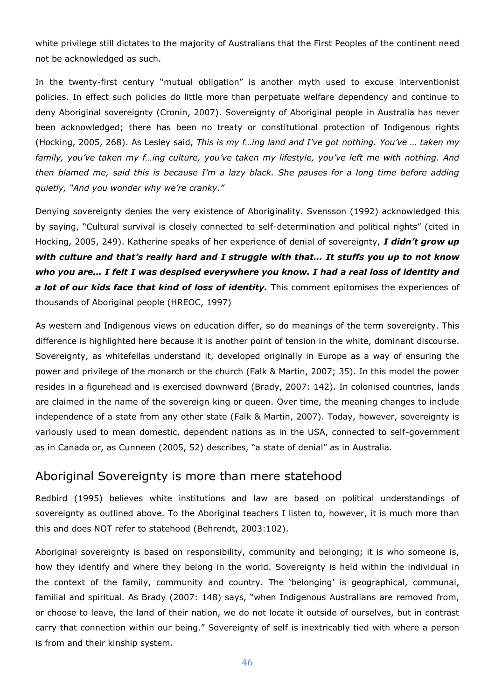white privilege still dictates to the majority of Australians that the First Peoples of the continent need not be acknowledged as such.

In the twenty-first century "mutual obligation" is another myth used to excuse interventionist policies. In effect such policies do little more than perpetuate welfare dependency and continue to deny Aboriginal sovereignty (Cronin, 2007). Sovereignty of Aboriginal people in Australia has never been acknowledged; there has been no treaty or constitutional protection of Indigenous rights (Hocking, 2005, 268). As Lesley said, *This is my f…ing land and I've got nothing. You've … taken my family, you've taken my f…ing culture, you've taken my lifestyle, you've left me with nothing. And then blamed me, said this is because I'm a lazy black. She pauses for a long time before adding quietly, "And you wonder why we're cranky."*

Denying sovereignty denies the very existence of Aboriginality. Svensson (1992) acknowledged this by saying, "Cultural survival is closely connected to self-determination and political rights" (cited in Hocking, 2005, 249). Katherine speaks of her experience of denial of sovereignty, *I didn't grow up with culture and that's really hard and I struggle with that… It stuffs you up to not know who you are… I felt I was despised everywhere you know. I had a real loss of identity and a lot of our kids face that kind of loss of identity.* This comment epitomises the experiences of thousands of Aboriginal people (HREOC, 1997)

As western and Indigenous views on education differ, so do meanings of the term sovereignty. This difference is highlighted here because it is another point of tension in the white, dominant discourse. Sovereignty, as whitefellas understand it, developed originally in Europe as a way of ensuring the power and privilege of the monarch or the church (Falk & Martin, 2007; 35). In this model the power resides in a figurehead and is exercised downward (Brady, 2007: 142). In colonised countries, lands are claimed in the name of the sovereign king or queen. Over time, the meaning changes to include independence of a state from any other state (Falk & Martin, 2007). Today, however, sovereignty is variously used to mean domestic, dependent nations as in the USA, connected to self-government as in Canada or, as Cunneen (2005, 52) describes, "a state of denial" as in Australia.

#### Aboriginal Sovereignty is more than mere statehood

Redbird (1995) believes white institutions and law are based on political understandings of sovereignty as outlined above. To the Aboriginal teachers I listen to, however, it is much more than this and does NOT refer to statehood (Behrendt, 2003:102).

Aboriginal sovereignty is based on responsibility, community and belonging; it is who someone is, how they identify and where they belong in the world. Sovereignty is held within the individual in the context of the family, community and country. The 'belonging' is geographical, communal, familial and spiritual. As Brady (2007: 148) says, "when Indigenous Australians are removed from, or choose to leave, the land of their nation, we do not locate it outside of ourselves, but in contrast carry that connection within our being." Sovereignty of self is inextricably tied with where a person is from and their kinship system.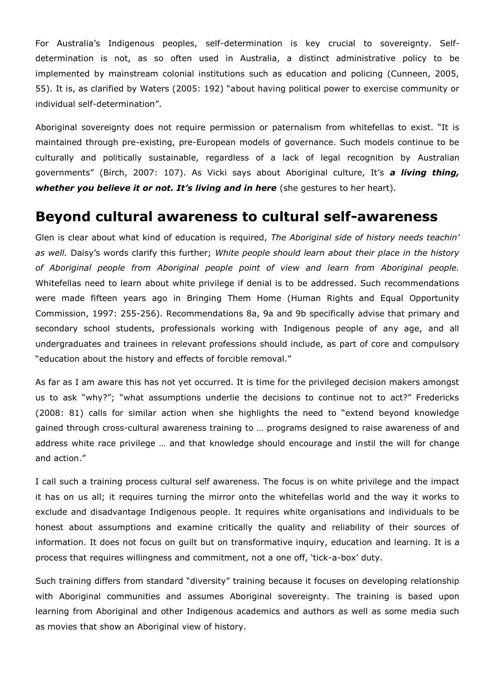For Australia's Indigenous peoples, self-determination is key crucial to sovereignty. Selfdetermination is not, as so often used in Australia, a distinct administrative policy to be implemented by mainstream colonial institutions such as education and policing (Cunneen, 2005, 55). It is, as clarified by Waters (2005: 192) "about having political power to exercise community or individual self-determination".

Aboriginal sovereignty does not require permission or paternalism from whitefellas to exist. "It is maintained through pre-existing, pre-European models of governance. Such models continue to be culturally and politically sustainable, regardless of a lack of legal recognition by Australian governments" (Birch, 2007: 107). As Vicki says about Aboriginal culture, It's *a living thing, whether you believe it or not. It's living and in here* (she gestures to her heart).

#### **Beyond cultural awareness to cultural self-awareness**

Glen is clear about what kind of education is required, *The Aboriginal side of history needs teachin' as well.* Daisy's words clarify this further; *White people should learn about their place in the history of Aboriginal people from Aboriginal people point of view and learn from Aboriginal people.*  Whitefellas need to learn about white privilege if denial is to be addressed. Such recommendations were made fifteen years ago in Bringing Them Home (Human Rights and Equal Opportunity Commission, 1997: 255-256). Recommendations 8a, 9a and 9b specifically advise that primary and secondary school students, professionals working with Indigenous people of any age, and all undergraduates and trainees in relevant professions should include, as part of core and compulsory "education about the history and effects of forcible removal."

As far as I am aware this has not yet occurred. It is time for the privileged decision makers amongst us to ask "why?"; "what assumptions underlie the decisions to continue not to act?" Fredericks (2008: 81) calls for similar action when she highlights the need to "extend beyond knowledge gained through cross-cultural awareness training to … programs designed to raise awareness of and address white race privilege … and that knowledge should encourage and instil the will for change and action."

I call such a training process cultural self awareness. The focus is on white privilege and the impact it has on us all; it requires turning the mirror onto the whitefellas world and the way it works to exclude and disadvantage Indigenous people. It requires white organisations and individuals to be honest about assumptions and examine critically the quality and reliability of their sources of information. It does not focus on guilt but on transformative inquiry, education and learning. It is a process that requires willingness and commitment, not a one off, 'tick-a-box' duty.

Such training differs from standard "diversity" training because it focuses on developing relationship with Aboriginal communities and assumes Aboriginal sovereignty. The training is based upon learning from Aboriginal and other Indigenous academics and authors as well as some media such as movies that show an Aboriginal view of history.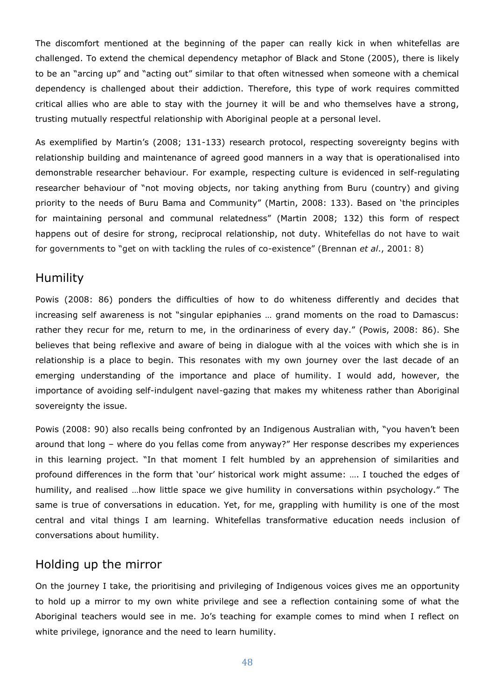The discomfort mentioned at the beginning of the paper can really kick in when whitefellas are challenged. To extend the chemical dependency metaphor of Black and Stone (2005), there is likely to be an "arcing up" and "acting out" similar to that often witnessed when someone with a chemical dependency is challenged about their addiction. Therefore, this type of work requires committed critical allies who are able to stay with the journey it will be and who themselves have a strong, trusting mutually respectful relationship with Aboriginal people at a personal level.

As exemplified by Martin's (2008; 131-133) research protocol, respecting sovereignty begins with relationship building and maintenance of agreed good manners in a way that is operationalised into demonstrable researcher behaviour. For example, respecting culture is evidenced in self-regulating researcher behaviour of "not moving objects, nor taking anything from Buru (country) and giving priority to the needs of Buru Bama and Community" (Martin, 2008: 133). Based on 'the principles for maintaining personal and communal relatedness" (Martin 2008; 132) this form of respect happens out of desire for strong, reciprocal relationship, not duty. Whitefellas do not have to wait for governments to "get on with tackling the rules of co-existence" (Brennan *et al*., 2001: 8)

#### Humility

Powis (2008: 86) ponders the difficulties of how to do whiteness differently and decides that increasing self awareness is not "singular epiphanies … grand moments on the road to Damascus: rather they recur for me, return to me, in the ordinariness of every day." (Powis, 2008: 86). She believes that being reflexive and aware of being in dialogue with al the voices with which she is in relationship is a place to begin. This resonates with my own journey over the last decade of an emerging understanding of the importance and place of humility. I would add, however, the importance of avoiding self-indulgent navel-gazing that makes my whiteness rather than Aboriginal sovereignty the issue.

Powis (2008: 90) also recalls being confronted by an Indigenous Australian with, "you haven't been around that long – where do you fellas come from anyway?" Her response describes my experiences in this learning project. "In that moment I felt humbled by an apprehension of similarities and profound differences in the form that 'our' historical work might assume: …. I touched the edges of humility, and realised …how little space we give humility in conversations within psychology." The same is true of conversations in education. Yet, for me, grappling with humility is one of the most central and vital things I am learning. Whitefellas transformative education needs inclusion of conversations about humility.

#### Holding up the mirror

On the journey I take, the prioritising and privileging of Indigenous voices gives me an opportunity to hold up a mirror to my own white privilege and see a reflection containing some of what the Aboriginal teachers would see in me. Jo's teaching for example comes to mind when I reflect on white privilege, ignorance and the need to learn humility.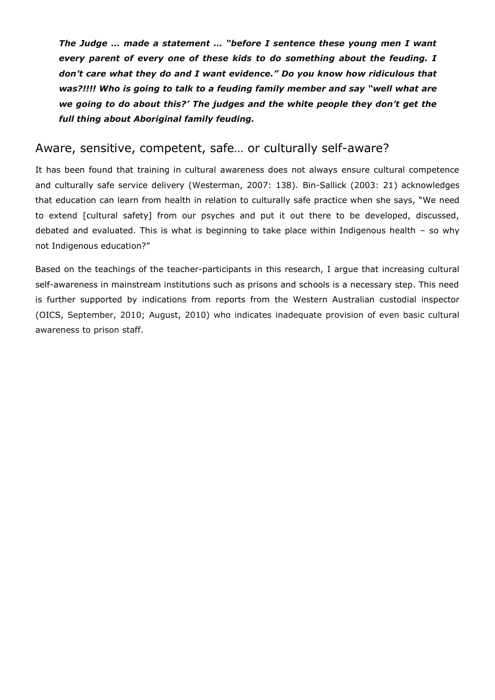*The Judge … made a statement … "before I sentence these young men I want every parent of every one of these kids to do something about the feuding. I don't care what they do and I want evidence." Do you know how ridiculous that was?!!!! Who is going to talk to a feuding family member and say "well what are we going to do about this?' The judges and the white people they don't get the full thing about Aboriginal family feuding.*

#### Aware, sensitive, competent, safe… or culturally self-aware?

It has been found that training in cultural awareness does not always ensure cultural competence and culturally safe service delivery (Westerman, 2007: 138). Bin-Sallick (2003: 21) acknowledges that education can learn from health in relation to culturally safe practice when she says, "We need to extend [cultural safety] from our psyches and put it out there to be developed, discussed, debated and evaluated. This is what is beginning to take place within Indigenous health – so why not Indigenous education?"

Based on the teachings of the teacher-participants in this research, I argue that increasing cultural self-awareness in mainstream institutions such as prisons and schools is a necessary step. This need is further supported by indications from reports from the Western Australian custodial inspector (OICS, September, 2010; August, 2010) who indicates inadequate provision of even basic cultural awareness to prison staff.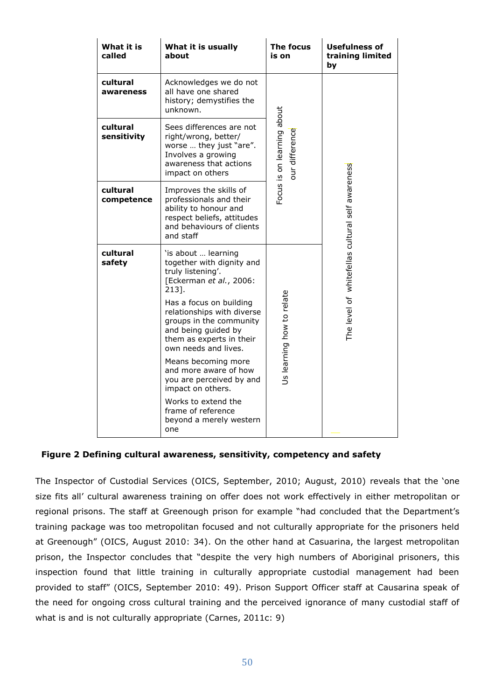| What it is<br>called    | What it is usually<br>about                                                                                                                                                                                                                                                                                                                                                                                                                              | <b>The focus</b><br>is on                    | <b>Usefulness of</b><br>training limited<br>bν   |
|-------------------------|----------------------------------------------------------------------------------------------------------------------------------------------------------------------------------------------------------------------------------------------------------------------------------------------------------------------------------------------------------------------------------------------------------------------------------------------------------|----------------------------------------------|--------------------------------------------------|
| cultural<br>awareness   | Acknowledges we do not<br>all have one shared<br>history; demystifies the<br>unknown.                                                                                                                                                                                                                                                                                                                                                                    | Focus is on learning about<br>our difference | The level of whitefellas cultural self awareness |
| cultural<br>sensitivity | Sees differences are not<br>right/wrong, better/<br>worse  they just "are".<br>Involves a growing<br>awareness that actions<br>impact on others                                                                                                                                                                                                                                                                                                          |                                              |                                                  |
| cultural<br>competence  | Improves the skills of<br>professionals and their<br>ability to honour and<br>respect beliefs, attitudes<br>and behaviours of clients<br>and staff                                                                                                                                                                                                                                                                                                       |                                              |                                                  |
| cultural<br>safety      | 'is about  learning<br>together with dignity and<br>truly listening'.<br>[Eckerman et al., 2006:<br>213].<br>Has a focus on building<br>relationships with diverse<br>groups in the community<br>and being guided by<br>them as experts in their<br>own needs and lives.<br>Means becoming more<br>and more aware of how<br>you are perceived by and<br>impact on others.<br>Works to extend the<br>frame of reference<br>beyond a merely western<br>one | Us learning how to relate                    |                                                  |

#### **Figure 2 Defining cultural awareness, sensitivity, competency and safety**

The Inspector of Custodial Services (OICS, September, 2010; August, 2010) reveals that the 'one size fits all' cultural awareness training on offer does not work effectively in either metropolitan or regional prisons. The staff at Greenough prison for example "had concluded that the Department's training package was too metropolitan focused and not culturally appropriate for the prisoners held at Greenough" (OICS, August 2010: 34). On the other hand at Casuarina, the largest metropolitan prison, the Inspector concludes that "despite the very high numbers of Aboriginal prisoners, this inspection found that little training in culturally appropriate custodial management had been provided to staff" (OICS, September 2010: 49). Prison Support Officer staff at Causarina speak of the need for ongoing cross cultural training and the perceived ignorance of many custodial staff of what is and is not culturally appropriate (Carnes, 2011c: 9)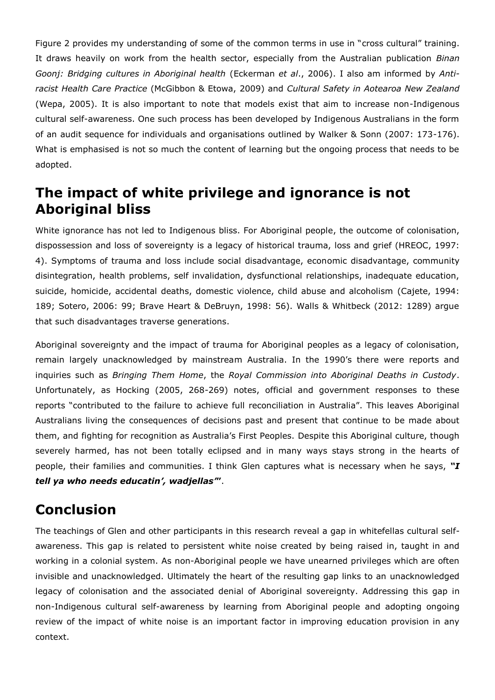Figure 2 provides my understanding of some of the common terms in use in "cross cultural" training. It draws heavily on work from the health sector, especially from the Australian publication *Binan Goonj: Bridging cultures in Aboriginal health* (Eckerman *et al*., 2006). I also am informed by *Antiracist Health Care Practice* (McGibbon & Etowa, 2009) and *Cultural Safety in Aotearoa New Zealand* (Wepa, 2005). It is also important to note that models exist that aim to increase non-Indigenous cultural self-awareness. One such process has been developed by Indigenous Australians in the form of an audit sequence for individuals and organisations outlined by Walker & Sonn (2007: 173-176). What is emphasised is not so much the content of learning but the ongoing process that needs to be adopted.

# **The impact of white privilege and ignorance is not Aboriginal bliss**

White ignorance has not led to Indigenous bliss. For Aboriginal people, the outcome of colonisation, dispossession and loss of sovereignty is a legacy of historical trauma, loss and grief (HREOC, 1997: 4). Symptoms of trauma and loss include social disadvantage, economic disadvantage, community disintegration, health problems, self invalidation, dysfunctional relationships, inadequate education, suicide, homicide, accidental deaths, domestic violence, child abuse and alcoholism (Cajete, 1994: 189; Sotero, 2006: 99; Brave Heart & DeBruyn, 1998: 56). Walls & Whitbeck (2012: 1289) argue that such disadvantages traverse generations.

Aboriginal sovereignty and the impact of trauma for Aboriginal peoples as a legacy of colonisation, remain largely unacknowledged by mainstream Australia. In the 1990's there were reports and inquiries such as *Bringing Them Home*, the *Royal Commission into Aboriginal Deaths in Custody*. Unfortunately, as Hocking (2005, 268-269) notes, official and government responses to these reports "contributed to the failure to achieve full reconciliation in Australia". This leaves Aboriginal Australians living the consequences of decisions past and present that continue to be made about them, and fighting for recognition as Australia's First Peoples. Despite this Aboriginal culture, though severely harmed, has not been totally eclipsed and in many ways stays strong in the hearts of people, their families and communities. I think Glen captures what is necessary when he says, *"I tell ya who needs educatin', wadjellas'***"**.

# **Conclusion**

The teachings of Glen and other participants in this research reveal a gap in whitefellas cultural selfawareness. This gap is related to persistent white noise created by being raised in, taught in and working in a colonial system. As non-Aboriginal people we have unearned privileges which are often invisible and unacknowledged. Ultimately the heart of the resulting gap links to an unacknowledged legacy of colonisation and the associated denial of Aboriginal sovereignty. Addressing this gap in non-Indigenous cultural self-awareness by learning from Aboriginal people and adopting ongoing review of the impact of white noise is an important factor in improving education provision in any context.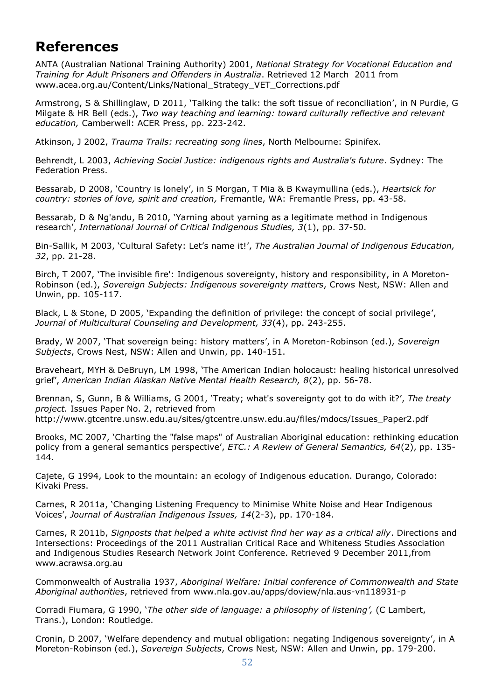# **References**

ANTA (Australian National Training Authority) 2001, *National Strategy for Vocational Education and Training for Adult Prisoners and Offenders in Australia*. Retrieved 12 March 2011 from www.acea.org.au/Content/Links/National\_Strategy\_VET\_Corrections.pdf

Armstrong, S & Shillinglaw, D 2011, 'Talking the talk: the soft tissue of reconciliation', in N Purdie, G Milgate & HR Bell (eds.), *Two way teaching and learning: toward culturally reflective and relevant education,* Camberwell: ACER Press, pp. 223-242.

Atkinson, J 2002, *Trauma Trails: recreating song lines*, North Melbourne: Spinifex.

Behrendt, L 2003, *Achieving Social Justice: indigenous rights and Australia's future*. Sydney: The Federation Press.

Bessarab, D 2008, 'Country is lonely', in S Morgan, T Mia & B Kwaymullina (eds.), *Heartsick for country: stories of love, spirit and creation,* Fremantle, WA: Fremantle Press, pp. 43-58.

Bessarab, D & Ng'andu, B 2010, 'Yarning about yarning as a legitimate method in Indigenous research', *International Journal of Critical Indigenous Studies, 3*(1), pp. 37-50.

Bin-Sallik, M 2003, 'Cultural Safety: Let's name it!', *The Australian Journal of Indigenous Education, 32*, pp. 21-28.

Birch, T 2007, 'The invisible fire': Indigenous sovereignty, history and responsibility, in A Moreton-Robinson (ed.), *Sovereign Subjects: Indigenous sovereignty matters*, Crows Nest, NSW: Allen and Unwin, pp. 105-117.

Black, L & Stone, D 2005, 'Expanding the definition of privilege: the concept of social privilege', *Journal of Multicultural Counseling and Development, 33*(4), pp. 243-255.

Brady, W 2007, 'That sovereign being: history matters', in A Moreton-Robinson (ed.), *Sovereign Subjects*, Crows Nest, NSW: Allen and Unwin, pp. 140-151.

Braveheart, MYH & DeBruyn, LM 1998, 'The American Indian holocaust: healing historical unresolved grief', *American Indian Alaskan Native Mental Health Research, 8*(2), pp. 56-78.

Brennan, S, Gunn, B & Williams, G 2001, 'Treaty; what's sovereignty got to do with it?', *The treaty project.* Issues Paper No. 2, retrieved from http://www.gtcentre.unsw.edu.au/sites/gtcentre.unsw.edu.au/files/mdocs/Issues\_Paper2.pdf

Brooks, MC 2007, 'Charting the "false maps" of Australian Aboriginal education: rethinking education policy from a general semantics perspective', *ETC.: A Review of General Semantics, 64*(2), pp. 135- 144.

Cajete, G 1994, Look to the mountain: an ecology of Indigenous education. Durango, Colorado: Kivaki Press.

Carnes, R 2011a, 'Changing Listening Frequency to Minimise White Noise and Hear Indigenous Voices', *Journal of Australian Indigenous Issues, 14*(2-3), pp. 170-184.

Carnes, R 2011b, *Signposts that helped a white activist find her way as a critical ally*. Directions and Intersections: Proceedings of the 2011 Australian Critical Race and Whiteness Studies Association and Indigenous Studies Research Network Joint Conference. Retrieved 9 December 2011,from www.acrawsa.org.au

Commonwealth of Australia 1937, *Aboriginal Welfare: Initial conference of Commonwealth and State Aboriginal authorities*, retrieved from www.nla.gov.au/apps/doview/nla.aus-vn118931-p

Corradi Fiumara, G 1990, '*The other side of language: a philosophy of listening',* (C Lambert, Trans.), London: Routledge.

Cronin, D 2007, 'Welfare dependency and mutual obligation: negating Indigenous sovereignty', in A Moreton-Robinson (ed.), *Sovereign Subjects*, Crows Nest, NSW: Allen and Unwin, pp. 179-200.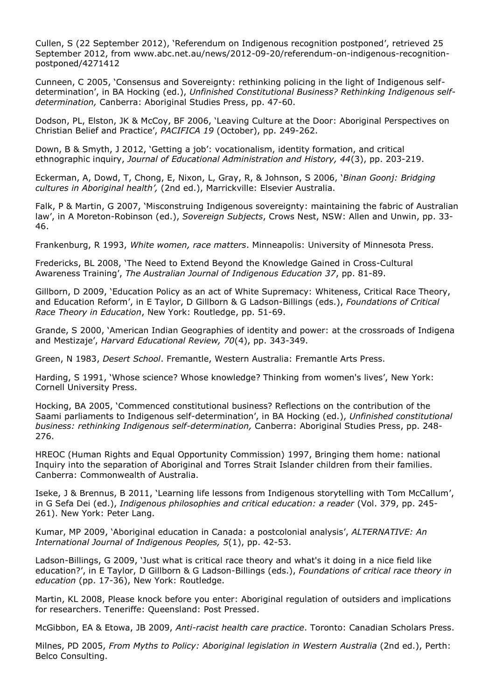Cullen, S (22 September 2012), 'Referendum on Indigenous recognition postponed', retrieved 25 September 2012, from www.abc.net.au/news/2012-09-20/referendum-on-indigenous-recognitionpostponed/4271412

Cunneen, C 2005, 'Consensus and Sovereignty: rethinking policing in the light of Indigenous selfdetermination', in BA Hocking (ed.), *Unfinished Constitutional Business? Rethinking Indigenous selfdetermination,* Canberra: Aboriginal Studies Press, pp. 47-60.

Dodson, PL, Elston, JK & McCoy, BF 2006, 'Leaving Culture at the Door: Aboriginal Perspectives on Christian Belief and Practice', *PACIFICA 19* (October), pp. 249-262.

Down, B & Smyth, J 2012, 'Getting a job': vocationalism, identity formation, and critical ethnographic inquiry, *Journal of Educational Administration and History, 44*(3), pp. 203-219.

Eckerman, A, Dowd, T, Chong, E, Nixon, L, Gray, R, & Johnson, S 2006, '*Binan Goonj: Bridging cultures in Aboriginal health',* (2nd ed.), Marrickville: Elsevier Australia.

Falk, P & Martin, G 2007, 'Misconstruing Indigenous sovereignty: maintaining the fabric of Australian law', in A Moreton-Robinson (ed.), *Sovereign Subjects*, Crows Nest, NSW: Allen and Unwin, pp. 33- 46.

Frankenburg, R 1993, *White women, race matters*. Minneapolis: University of Minnesota Press.

Fredericks, BL 2008, 'The Need to Extend Beyond the Knowledge Gained in Cross-Cultural Awareness Training', *The Australian Journal of Indigenous Education 37*, pp. 81-89.

Gillborn, D 2009, 'Education Policy as an act of White Supremacy: Whiteness, Critical Race Theory, and Education Reform', in E Taylor, D Gillborn & G Ladson-Billings (eds.), *Foundations of Critical Race Theory in Education*, New York: Routledge, pp. 51-69.

Grande, S 2000, 'American Indian Geographies of identity and power: at the crossroads of Indigena and Mestizaje', *Harvard Educational Review, 70*(4), pp. 343-349.

Green, N 1983, *Desert School*. Fremantle, Western Australia: Fremantle Arts Press.

Harding, S 1991, 'Whose science? Whose knowledge? Thinking from women's lives', New York: Cornell University Press.

Hocking, BA 2005, 'Commenced constitutional business? Reflections on the contribution of the Saami parliaments to Indigenous self-determination', in BA Hocking (ed.), *Unfinished constitutional business: rethinking Indigenous self-determination,* Canberra: Aboriginal Studies Press, pp. 248- 276.

HREOC (Human Rights and Equal Opportunity Commission) 1997, Bringing them home: national Inquiry into the separation of Aboriginal and Torres Strait Islander children from their families. Canberra: Commonwealth of Australia.

Iseke, J & Brennus, B 2011, 'Learning life lessons from Indigenous storytelling with Tom McCallum', in G Sefa Dei (ed.), *Indigenous philosophies and critical education: a reader* (Vol. 379, pp. 245- 261). New York: Peter Lang.

Kumar, MP 2009, 'Aboriginal education in Canada: a postcolonial analysis', *ALTERNATIVE: An International Journal of Indigenous Peoples, 5*(1), pp. 42-53.

Ladson-Billings, G 2009, 'Just what is critical race theory and what's it doing in a nice field like education?', in E Taylor, D Gillborn & G Ladson-Billings (eds.), *Foundations of critical race theory in education* (pp. 17-36), New York: Routledge.

Martin, KL 2008, Please knock before you enter: Aboriginal regulation of outsiders and implications for researchers. Teneriffe: Queensland: Post Pressed.

McGibbon, EA & Etowa, JB 2009, *Anti-racist health care practice*. Toronto: Canadian Scholars Press.

Milnes, PD 2005, *From Myths to Policy: Aboriginal legislation in Western Australia* (2nd ed.), Perth: Belco Consulting.